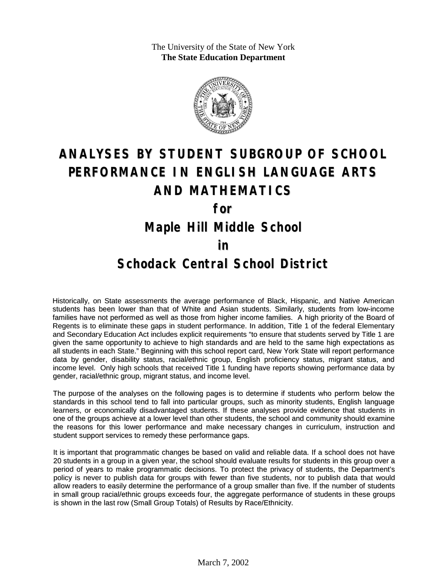The University of the State of New York **The State Education Department**



# **ANALYSES BY STUDENT SUBGROUP OF SCHOOL PERFORMANCE IN ENGLISH LANGUAGE ARTS AND MATHEMATICS for Maple Hill Middle School in**

#### **Schodack Central School District**

Historically, on State assessments the average performance of Black, Hispanic, and Native American students has been lower than that of White and Asian students. Similarly, students from low-income families have not performed as well as those from higher income families. A high priority of the Board of Regents is to eliminate these gaps in student performance. In addition, Title 1 of the federal Elementary and Secondary Education Act includes explicit requirements "to ensure that students served by Title 1 are given the same opportunity to achieve to high standards and are held to the same high expectations as all students in each State." Beginning with this school report card, New York State will report performance data by gender, disability status, racial/ethnic group, English proficiency status, migrant status, and income level. Only high schools that received Title 1 funding have reports showing performance data by gender, racial/ethnic group, migrant status, and income level.

The purpose of the analyses on the following pages is to determine if students who perform below the standards in this school tend to fall into particular groups, such as minority students, English language learners, or economically disadvantaged students. If these analyses provide evidence that students in one of the groups achieve at a lower level than other students, the school and community should examine the reasons for this lower performance and make necessary changes in curriculum, instruction and student support services to remedy these performance gaps.

It is important that programmatic changes be based on valid and reliable data. If a school does not have 20 students in a group in a given year, the school should evaluate results for students in this group over a period of years to make programmatic decisions. To protect the privacy of students, the Department's policy is never to publish data for groups with fewer than five students, nor to publish data that would allow readers to easily determine the performance of a group smaller than five. If the number of students in small group racial/ethnic groups exceeds four, the aggregate performance of students in these groups is shown in the last row (Small Group Totals) of Results by Race/Ethnicity.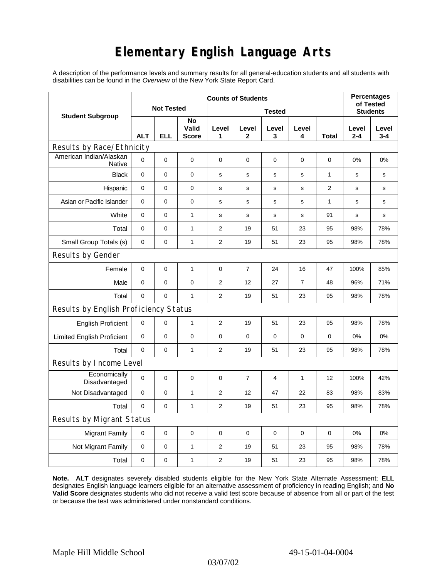# **Elementary English Language Arts**

A description of the performance levels and summary results for all general-education students and all students with disabilities can be found in the *Overview* of the New York State Report Card.

|                                       | <b>Counts of Students</b> |             |                             |                |                  |             |                |                |                  | <b>Percentages</b><br>of Tested |  |
|---------------------------------------|---------------------------|-------------|-----------------------------|----------------|------------------|-------------|----------------|----------------|------------------|---------------------------------|--|
| <b>Student Subgroup</b>               | <b>Not Tested</b>         |             |                             |                | <b>Students</b>  |             |                |                |                  |                                 |  |
|                                       | <b>ALT</b>                | ELL         | No<br>Valid<br><b>Score</b> | Level<br>1     | Level<br>2       | Level<br>3  | Level<br>4     | Total          | Level<br>$2 - 4$ | Level<br>$3 - 4$                |  |
| Results by Race/Ethnicity             |                           |             |                             |                |                  |             |                |                |                  |                                 |  |
| American Indian/Alaskan<br>Native     | $\Omega$                  | $\mathbf 0$ | $\mathbf 0$                 | $\mathbf 0$    | $\mathbf 0$      | 0           | 0              | 0              | 0%               | 0%                              |  |
| <b>Black</b>                          | $\mathbf 0$               | $\mathbf 0$ | $\mathbf 0$                 | s              | $\mathbf s$      | $\mathbf s$ | $\mathbf s$    | $\mathbf{1}$   | $\mathbf s$      | $\mathbf s$                     |  |
| Hispanic                              | 0                         | 0           | $\mathbf 0$                 | s              | s                | s           | s              | $\overline{2}$ | s                | s                               |  |
| Asian or Pacific Islander             | 0                         | 0           | 0                           | $\mathbf s$    | s                | s           | $\mathbf s$    | 1              | s                | s                               |  |
| White                                 | 0                         | 0           | $\mathbf{1}$                | $\mathbf s$    | $\mathbf s$      | ${\tt S}$   | s              | 91             | $\mathbf s$      | s                               |  |
| Total                                 | 0                         | 0           | $\mathbf{1}$                | $\overline{2}$ | 19               | 51          | 23             | 95             | 98%              | 78%                             |  |
| Small Group Totals (s)                | 0                         | 0           | $\mathbf{1}$                | 2              | 19               | 51          | 23             | 95             | 98%              | 78%                             |  |
| Results by Gender                     |                           |             |                             |                |                  |             |                |                |                  |                                 |  |
| Female                                | $\mathbf 0$               | 0           | $\mathbf 1$                 | 0              | $\boldsymbol{7}$ | 24          | 16             | 47             | 100%             | 85%                             |  |
| Male                                  | 0                         | 0           | $\pmb{0}$                   | $\overline{2}$ | 12               | 27          | $\overline{7}$ | 48             | 96%              | 71%                             |  |
| Total                                 | 0                         | 0           | $\mathbf{1}$                | $\overline{2}$ | 19               | 51          | 23             | 95             | 98%              | 78%                             |  |
| Results by English Proficiency Status |                           |             |                             |                |                  |             |                |                |                  |                                 |  |
| <b>English Proficient</b>             | 0                         | 0           | $\mathbf{1}$                | $\overline{2}$ | 19               | 51          | 23             | 95             | 98%              | 78%                             |  |
| <b>Limited English Proficient</b>     | 0                         | 0           | $\pmb{0}$                   | $\pmb{0}$      | $\mathbf 0$      | 0           | $\mathbf 0$    | $\mathbf 0$    | 0%               | 0%                              |  |
| Total                                 | $\mathbf 0$               | $\pmb{0}$   | $\mathbf{1}$                | 2              | 19               | 51          | 23             | 95             | 98%              | 78%                             |  |
| Results by Income Level               |                           |             |                             |                |                  |             |                |                |                  |                                 |  |
| Economically<br>Disadvantaged         | 0                         | 0           | $\mathbf 0$                 | $\mathbf 0$    | 7                | 4           | 1              | 12             | 100%             | 42%                             |  |
| Not Disadvantaged                     | 0                         | 0           | $\mathbf{1}$                | $\overline{2}$ | 12               | 47          | 22             | 83             | 98%              | 83%                             |  |
| Total                                 | 0                         | $\mathbf 0$ | $\mathbf{1}$                | $\overline{2}$ | 19               | 51          | 23             | 95             | 98%              | 78%                             |  |
| Results by Migrant Status             |                           |             |                             |                |                  |             |                |                |                  |                                 |  |
| <b>Migrant Family</b>                 | 0                         | 0           | 0                           | 0              | 0                | 0           | $\pmb{0}$      | 0              | 0%               | 0%                              |  |
| Not Migrant Family                    | 0                         | $\mathbf 0$ | $\mathbf{1}$                | $\overline{2}$ | 19               | 51          | 23             | 95             | 98%              | 78%                             |  |
| Total                                 | 0                         | 0           | $\mathbf{1}$                | 2              | 19               | 51          | 23             | 95             | 98%              | 78%                             |  |

**Note. ALT** designates severely disabled students eligible for the New York State Alternate Assessment; **ELL** designates English language learners eligible for an alternative assessment of proficiency in reading English; and **No Valid Score** designates students who did not receive a valid test score because of absence from all or part of the test or because the test was administered under nonstandard conditions.

03/07/02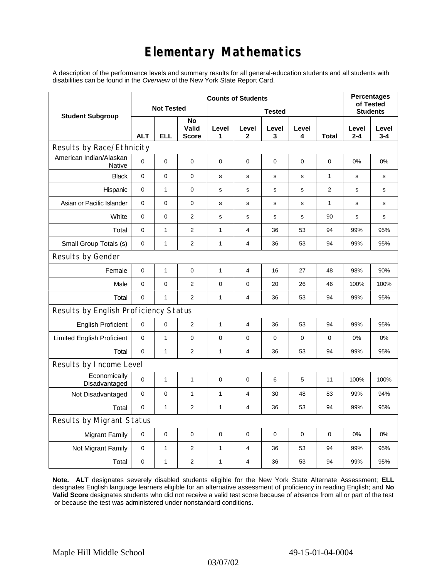# **Elementary Mathematics**

A description of the performance levels and summary results for all general-education students and all students with disabilities can be found in the *Overview* of the New York State Report Card.

|                                          | <b>Counts of Students</b> |              |                             |              |                         |                 |             |                |                  | <b>Percentages</b><br>of Tested |  |
|------------------------------------------|---------------------------|--------------|-----------------------------|--------------|-------------------------|-----------------|-------------|----------------|------------------|---------------------------------|--|
| <b>Student Subgroup</b>                  | <b>Not Tested</b>         |              |                             |              |                         | <b>Students</b> |             |                |                  |                                 |  |
|                                          | <b>ALT</b>                | <b>ELL</b>   | No<br>Valid<br><b>Score</b> | Level<br>1   | Level<br>$\mathbf{2}$   | Level<br>3      | Level<br>4  | Total          | Level<br>$2 - 4$ | Level<br>$3 - 4$                |  |
| Results by Race/Ethnicity                |                           |              |                             |              |                         |                 |             |                |                  |                                 |  |
| American Indian/Alaskan<br><b>Native</b> | $\Omega$                  | 0            | $\mathbf 0$                 | $\mathbf 0$  | $\mathbf 0$             | $\mathbf 0$     | 0           | $\mathbf 0$    | 0%               | 0%                              |  |
| <b>Black</b>                             | $\mathbf 0$               | 0            | 0                           | s            | s                       | s               | s           | $\mathbf{1}$   | s                | s                               |  |
| Hispanic                                 | 0                         | $\mathbf{1}$ | 0                           | s            | s                       | $\mathbf S$     | s           | $\overline{c}$ | $\mathbf s$      | s                               |  |
| Asian or Pacific Islander                | $\mathbf 0$               | 0            | $\mathbf 0$                 | s            | s                       | ${\bf s}$       | $\mathbf s$ | 1              | s                | s                               |  |
| White                                    | $\mathbf 0$               | 0            | $\overline{2}$              | s            | s                       | s               | s           | 90             | s                | s                               |  |
| Total                                    | $\mathbf 0$               | $\mathbf{1}$ | $\mathbf{2}$                | 1            | 4                       | 36              | 53          | 94             | 99%              | 95%                             |  |
| Small Group Totals (s)                   | $\mathbf 0$               | $\mathbf{1}$ | $\overline{2}$              | 1            | 4                       | 36              | 53          | 94             | 99%              | 95%                             |  |
| Results by Gender                        |                           |              |                             |              |                         |                 |             |                |                  |                                 |  |
| Female                                   | $\mathbf 0$               | $\mathbf{1}$ | $\mathbf 0$                 | 1            | 4                       | 16              | 27          | 48             | 98%              | 90%                             |  |
| Male                                     | $\mathbf 0$               | 0            | $\overline{2}$              | 0            | 0                       | 20              | 26          | 46             | 100%             | 100%                            |  |
| Total                                    | 0                         | $\mathbf{1}$ | $\overline{2}$              | $\mathbf{1}$ | $\overline{4}$          | 36              | 53          | 94             | 99%              | 95%                             |  |
| Results by English Proficiency Status    |                           |              |                             |              |                         |                 |             |                |                  |                                 |  |
| <b>English Proficient</b>                | $\mathbf 0$               | 0            | $\overline{2}$              | 1            | $\overline{\mathbf{4}}$ | 36              | 53          | 94             | 99%              | 95%                             |  |
| <b>Limited English Proficient</b>        | $\mathbf 0$               | $\mathbf{1}$ | $\pmb{0}$                   | $\pmb{0}$    | $\mathbf 0$             | $\mathbf 0$     | 0           | 0              | 0%               | 0%                              |  |
| Total                                    | $\mathbf 0$               | $\mathbf{1}$ | $\overline{2}$              | $\mathbf{1}$ | $\overline{4}$          | 36              | 53          | 94             | 99%              | 95%                             |  |
| Results by Income Level                  |                           |              |                             |              |                         |                 |             |                |                  |                                 |  |
| Economically<br>Disadvantaged            | $\Omega$                  | 1            | $\mathbf{1}$                | $\mathbf 0$  | $\mathbf 0$             | 6               | 5           | 11             | 100%             | 100%                            |  |
| Not Disadvantaged                        | 0                         | 0            | $\mathbf{1}$                | $\mathbf{1}$ | 4                       | 30              | 48          | 83             | 99%              | 94%                             |  |
| Total                                    | $\mathbf 0$               | $\mathbf{1}$ | 2                           | 1            | 4                       | 36              | 53          | 94             | 99%              | 95%                             |  |
| Results by Migrant Status                |                           |              |                             |              |                         |                 |             |                |                  |                                 |  |
| <b>Migrant Family</b>                    | $\mathbf 0$               | 0            | $\pmb{0}$                   | $\pmb{0}$    | 0                       | $\mathbf 0$     | 0           | 0              | 0%               | 0%                              |  |
| Not Migrant Family                       | $\mathbf 0$               | $\mathbf{1}$ | $\overline{c}$              | 1            | 4                       | 36              | 53          | 94             | 99%              | 95%                             |  |
| Total                                    | $\mathbf 0$               | $\mathbf{1}$ | $\mathbf{2}$                | 1            | 4                       | 36              | 53          | 94             | 99%              | 95%                             |  |

**Note. ALT** designates severely disabled students eligible for the New York State Alternate Assessment; **ELL** designates English language learners eligible for an alternative assessment of proficiency in reading English; and **No Valid Score** designates students who did not receive a valid test score because of absence from all or part of the test or because the test was administered under nonstandard conditions.

03/07/02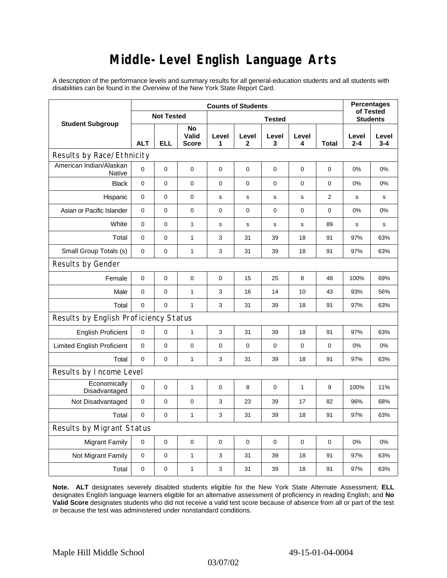### **Middle-Level English Language Arts**

A description of the performance levels and summary results for all general-education students and all students with disabilities can be found in the *Overview* of the New York State Report Card.

|                                       | <b>Counts of Students</b> |             |                                    |             |                       |                 |              |              |                  | <b>Percentages</b><br>of Tested |
|---------------------------------------|---------------------------|-------------|------------------------------------|-------------|-----------------------|-----------------|--------------|--------------|------------------|---------------------------------|
| <b>Student Subgroup</b>               | <b>Not Tested</b>         |             |                                    |             |                       | <b>Students</b> |              |              |                  |                                 |
|                                       | <b>ALT</b>                | <b>ELL</b>  | <b>No</b><br>Valid<br><b>Score</b> | Level<br>1  | Level<br>$\mathbf{2}$ | Level<br>3      | Level<br>4   | <b>Total</b> | Level<br>$2 - 4$ | Level<br>$3 - 4$                |
| Results by Race/Ethnicity             |                           |             |                                    |             |                       |                 |              |              |                  |                                 |
| American Indian/Alaskan<br>Native     | $\Omega$                  | 0           | 0                                  | $\Omega$    | $\mathbf 0$           | $\mathbf 0$     | $\mathbf 0$  | $\mathbf 0$  | 0%               | 0%                              |
| <b>Black</b>                          | 0                         | 0           | 0                                  | 0           | $\mathbf 0$           | 0               | $\mathbf 0$  | 0            | 0%               | 0%                              |
| Hispanic                              | 0                         | 0           | $\pmb{0}$                          | s           | $\mathbf s$           | $\mathbf s$     | s            | 2            | $\mathbf s$      | s                               |
| Asian or Pacific Islander             | 0                         | 0           | $\mathbf 0$                        | $\mathbf 0$ | $\mathbf 0$           | 0               | 0            | 0            | 0%               | 0%                              |
| White                                 | 0                         | 0           | $\mathbf{1}$                       | $\mathbf s$ | ${\tt S}$             | ${\tt S}$       | $\mathbf s$  | 89           | s                | s                               |
| Total                                 | $\mathbf 0$               | 0           | $\mathbf{1}$                       | 3           | 31                    | 39              | 18           | 91           | 97%              | 63%                             |
| Small Group Totals (s)                | 0                         | 0           | $\mathbf{1}$                       | 3           | 31                    | 39              | 18           | 91           | 97%              | 63%                             |
| Results by Gender                     |                           |             |                                    |             |                       |                 |              |              |                  |                                 |
| Female                                | $\mathbf 0$               | 0           | $\pmb{0}$                          | 0           | 15                    | 25              | 8            | 48           | 100%             | 69%                             |
| Male                                  | 0                         | 0           | $\mathbf{1}$                       | 3           | 16                    | 14              | 10           | 43           | 93%              | 56%                             |
| Total                                 | 0                         | 0           | $\mathbf{1}$                       | 3           | 31                    | 39              | 18           | 91           | 97%              | 63%                             |
| Results by English Proficiency Status |                           |             |                                    |             |                       |                 |              |              |                  |                                 |
| <b>English Proficient</b>             | 0                         | 0           | $\mathbf{1}$                       | 3           | 31                    | 39              | 18           | 91           | 97%              | 63%                             |
| <b>Limited English Proficient</b>     | $\pmb{0}$                 | 0           | $\pmb{0}$                          | $\mathbf 0$ | $\mathbf 0$           | 0               | $\mathbf 0$  | 0            | 0%               | 0%                              |
| Total                                 | $\mathbf 0$               | 0           | $\mathbf{1}$                       | 3           | 31                    | 39              | 18           | 91           | 97%              | 63%                             |
| Results by Income Level               |                           |             |                                    |             |                       |                 |              |              |                  |                                 |
| Economically<br>Disadvantaged         | $\mathbf 0$               | 0           | $\mathbf{1}$                       | 0           | 8                     | $\mathbf 0$     | $\mathbf{1}$ | 9            | 100%             | 11%                             |
| Not Disadvantaged                     | $\mathbf 0$               | 0           | 0                                  | 3           | 23                    | 39              | 17           | 82           | 96%              | 68%                             |
| Total                                 | $\mathbf 0$               | $\mathbf 0$ | $\mathbf{1}$                       | 3           | 31                    | 39              | 18           | 91           | 97%              | 63%                             |
| <b>Results by Migrant Status</b>      |                           |             |                                    |             |                       |                 |              |              |                  |                                 |
| <b>Migrant Family</b>                 | 0                         | 0           | 0                                  | $\mathbf 0$ | $\mathbf 0$           | 0               | 0            | 0            | 0%               | 0%                              |
| Not Migrant Family                    | 0                         | 0           | $\mathbf{1}$                       | 3           | 31                    | 39              | 18           | 91           | 97%              | 63%                             |
| Total                                 | 0                         | 0           | $\mathbf{1}$                       | 3           | 31                    | 39              | 18           | 91           | 97%              | 63%                             |

**Note. ALT** designates severely disabled students eligible for the New York State Alternate Assessment; **ELL** designates English language learners eligible for an alternative assessment of proficiency in reading English; and **No Valid Score** designates students who did not receive a valid test score because of absence from all or part of the test or because the test was administered under nonstandard conditions.